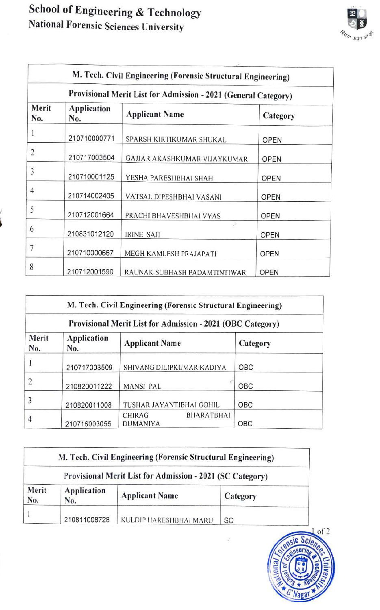## School of Engineering& Technology National Forensic Sciences University



|              |                                                                | M. Tech. Civil Engineering (Forensic Structural Engineering) |             |  |  |
|--------------|----------------------------------------------------------------|--------------------------------------------------------------|-------------|--|--|
|              | Provisional Merit List for Admission - 2021 (General Category) |                                                              |             |  |  |
| Merit<br>No. | <b>Application</b><br>No.                                      | <b>Applicant Name</b>                                        | Category    |  |  |
|              | 210710000771                                                   | SPARSH KIRTIKUMAR SHUKAL                                     | <b>OPEN</b> |  |  |
| 2            | 210717003504                                                   | GAJJAR AKASHKUMAR VIJAYKUMAR                                 | <b>OPEN</b> |  |  |
| 3            | 210710001125                                                   | YESHA PARESHBHAI SHAH                                        | <b>OPEN</b> |  |  |
| 4            | 210714002405                                                   | VATSAL DIPESHBHAI VASANI                                     | <b>OPEN</b> |  |  |
| 5            | 210712001664                                                   | PRACHI BHAVESHBHAI VYAS                                      | <b>OPEN</b> |  |  |
| 6            | 210831012120                                                   | $\cdot$<br>IRINE SAJI                                        | OPEN        |  |  |
| 7            | 210710000667                                                   | MEGH KAMLESH PRAJAPATI                                       | <b>OPEN</b> |  |  |
| 8            | 210712001590                                                   | RAUNAK SUBHASH PADAMTINTIWAR                                 | <b>OPEN</b> |  |  |

| M. Tech. Civil Engineering (Forensic Structural Engineering) |                    |                                                       |          |  |
|--------------------------------------------------------------|--------------------|-------------------------------------------------------|----------|--|
| Provisional Merit List for Admission - 2021 (OBC Category)   |                    |                                                       |          |  |
| Merit<br>No.                                                 | Application<br>No. | <b>Applicant Name</b>                                 | Category |  |
|                                                              | 210717003509       | SHIVANG DILIPKUMAR KADIYA                             | OBC      |  |
| $\overline{2}$                                               | 210820011222       | MANSI PAL                                             | OBC      |  |
| 3                                                            | 210820011008       | TUSHAR JAYANTIBHAI GOHIL                              | OBC      |  |
| $\overline{4}$                                               | 210716003055       | <b>BHARATBHAI</b><br><b>CHIRAG</b><br><b>DUMANIYA</b> | OBC      |  |

|                                                           |                    | M. Tech. Civil Engineering (Forensic Structural Engineering) |           |
|-----------------------------------------------------------|--------------------|--------------------------------------------------------------|-----------|
| Provisional Merit List for Admission - 2021 (SC Category) |                    |                                                              |           |
| Merit<br>No.                                              | Application<br>No. | <b>Applicant Name</b>                                        | Category  |
|                                                           | 210811008728       | KULDIP HARESHBHAI MARU                                       | <b>SC</b> |